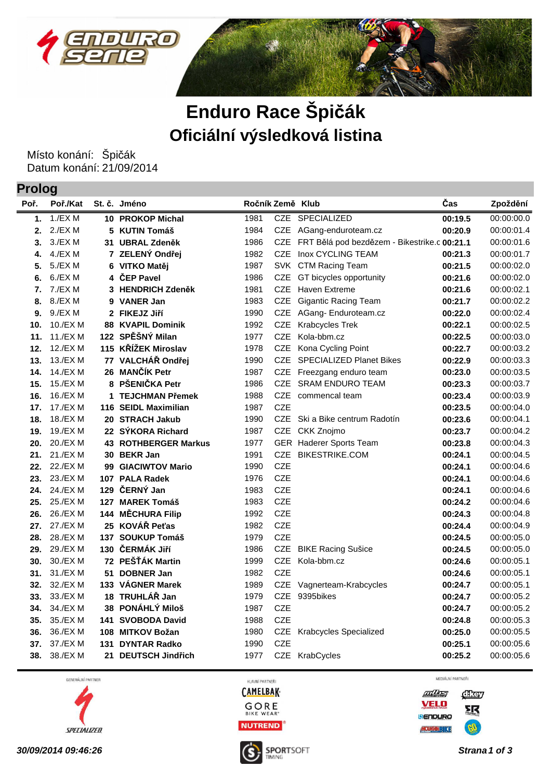



## **Enduro Race Špičák Oficiální výsledková listina**

Místo konání: Špičák Datum konání: 21/09/2014

**Prolog**

| Poř. | Poř./Kat |   | St. č. Jméno                | Ročník Země Klub |            |                                              | Čas     | Zpoždění   |
|------|----------|---|-----------------------------|------------------|------------|----------------------------------------------|---------|------------|
| 1.   | 1./EX M  |   | 10 PROKOP Michal            | 1981             |            | CZE SPECIALIZED                              | 00:19.5 | 00:00:00.0 |
| 2.   | 2./EX M  |   | 5 KUTIN Tomáš               | 1984             |            | CZE AGang-enduroteam.cz                      | 00:20.9 | 00:00:01.4 |
| 3.   | 3./EXM   |   | 31 UBRAL Zdeněk             | 1986             | <b>CZE</b> | FRT Bělá pod bezdězem - Bikestrike.c 00:21.1 |         | 00:00:01.6 |
| 4.   | 4./EX M  |   | 7 ZELENÝ Ondřej             | 1982             | <b>CZE</b> | Inox CYCLING TEAM                            | 00:21.3 | 00:00:01.7 |
| 5.   | 5./EX M  |   | 6 VITKO Matěj               | 1987             |            | SVK CTM Racing Team                          | 00:21.5 | 00:00:02.0 |
| 6.   | 6./EXM   | 4 | ČEP Pavel                   | 1986             | <b>CZE</b> | GT bicycles opportunity                      | 00:21.6 | 00:00:02.0 |
| 7.   | 7./EX M  | 3 | <b>HENDRICH Zdeněk</b>      | 1981             | <b>CZE</b> | <b>Haven Extreme</b>                         | 00:21.6 | 00:00:02.1 |
| 8.   | 8./EXM   | 9 | <b>VANER Jan</b>            | 1983             |            | CZE Gigantic Racing Team                     | 00:21.7 | 00:00:02.2 |
| 9.   | 9./EXM   |   | 2 FIKEJZ Jiří               | 1990             |            | CZE AGang-Enduroteam.cz                      | 00:22.0 | 00:00:02.4 |
| 10.  | 10./EXM  |   | <b>88 KVAPIL Dominik</b>    | 1992             | CZE        | Krabcycles Trek                              | 00:22.1 | 00:00:02.5 |
| 11.  | 11./EX M |   | 122 SPĚŠNÝ Milan            | 1977             | <b>CZE</b> | Kola-bbm.cz                                  | 00:22.5 | 00:00:03.0 |
| 12.  | 12./EX M |   | 115 KŘÍŽEK Miroslav         | 1978             | <b>CZE</b> | Kona Cycling Point                           | 00:22.7 | 00:00:03.2 |
| 13.  | 13./EX M |   | 77 VALCHÁŘ Ondřej           | 1990             | <b>CZE</b> | <b>SPECIALIZED Planet Bikes</b>              | 00:22.9 | 00:00:03.3 |
| 14.  | 14./EX M |   | 26 MANČÍK Petr              | 1987             |            | CZE Freezgang enduro team                    | 00:23.0 | 00:00:03.5 |
| 15.  | 15./EX M |   | 8 PŠENIČKA Petr             | 1986             | <b>CZE</b> | SRAM ENDURO TEAM                             | 00:23.3 | 00:00:03.7 |
| 16.  | 16./EX M |   | 1 TEJCHMAN Přemek           | 1988             | CZE        | commencal team                               | 00:23.4 | 00:00:03.9 |
| 17.  | 17./EX M |   | 116 SEIDL Maximilian        | 1987             | <b>CZE</b> |                                              | 00:23.5 | 00:00:04.0 |
| 18.  | 18./EX M |   | 20 STRACH Jakub             | 1990             |            | CZE Ski a Bike centrum Radotín               | 00:23.6 | 00:00:04.1 |
| 19.  | 19./EX M |   | 22 SÝKORA Richard           | 1987             | <b>CZE</b> | CKK Znojmo                                   | 00:23.7 | 00:00:04.2 |
| 20.  | 20./EX M |   | <b>43 ROTHBERGER Markus</b> | 1977             |            | GER Haderer Sports Team                      | 00:23.8 | 00:00:04.3 |
| 21.  | 21./EX M |   | 30 BEKR Jan                 | 1991             | <b>CZE</b> | <b>BIKESTRIKE.COM</b>                        | 00:24.1 | 00:00:04.5 |
| 22.  | 22./EX M |   | 99 GIACIWTOV Mario          | 1990             | <b>CZE</b> |                                              | 00:24.1 | 00:00:04.6 |
| 23.  | 23./EX M |   | 107 PALA Radek              | 1976             | <b>CZE</b> |                                              | 00:24.1 | 00:00:04.6 |
| 24.  | 24./EX M |   | 129 ČERNÝ Jan               | 1983             | <b>CZE</b> |                                              | 00:24.1 | 00:00:04.6 |
| 25.  | 25./EX M |   | 127 MAREK Tomáš             | 1983             | <b>CZE</b> |                                              | 00:24.2 | 00:00:04.6 |
| 26.  | 26./EX M |   | 144 MĚCHURA Filip           | 1992             | <b>CZE</b> |                                              | 00:24.3 | 00:00:04.8 |
| 27.  | 27./EX M |   | 25 KOVÁŘ Peťas              | 1982             | <b>CZE</b> |                                              | 00:24.4 | 00:00:04.9 |
| 28.  | 28./EX M |   | 137 SOUKUP Tomáš            | 1979             | <b>CZE</b> |                                              | 00:24.5 | 00:00:05.0 |
| 29.  | 29./EX M |   | 130 ČERMÁK Jiří             | 1986             | CZE        | <b>BIKE Racing Sušice</b>                    | 00:24.5 | 00:00:05.0 |
| 30.  | 30./EX M |   | 72 PEŠŤÁK Martin            | 1999             |            | CZE Kola-bbm.cz                              | 00:24.6 | 00:00:05.1 |
| 31.  | 31./EX M |   | 51 DOBNER Jan               | 1982             | <b>CZE</b> |                                              | 00:24.6 | 00:00:05.1 |
| 32.  | 32./EX M |   | 133 VÁGNER Marek            | 1989             | <b>CZE</b> | Vagnerteam-Krabcycles                        | 00:24.7 | 00:00:05.1 |
| 33.  | 33./EX M |   | 18 TRUHLÁŘ Jan              | 1979             |            | CZE 9395bikes                                | 00:24.7 | 00:00:05.2 |
| 34.  | 34./EX M |   | 38 PONÁHLÝ Miloš            | 1987             | <b>CZE</b> |                                              | 00:24.7 | 00:00:05.2 |
| 35.  | 35./EX M |   | 141 SVOBODA David           | 1988             | <b>CZE</b> |                                              | 00:24.8 | 00:00:05.3 |
| 36.  | 36./EX M |   | 108 MITKOV Božan            | 1980             | CZE        | <b>Krabcycles Specialized</b>                | 00:25.0 | 00:00:05.5 |
| 37.  | 37./EX M |   | 131 DYNTAR Radko            | 1990             | <b>CZE</b> |                                              | 00:25.1 | 00:00:05.6 |
| 38.  | 38./EX M |   | 21 DEUTSCH Jindřich         | 1977             |            | CZE KrabCycles                               | 00:25.2 | 00:00:05.6 |

GENERÁLNÍ PARTNER



HLAVNÍ PARTNEŘI **CAMELBAK-**





**30/09/2014 09:46:26 Strana1 of 3**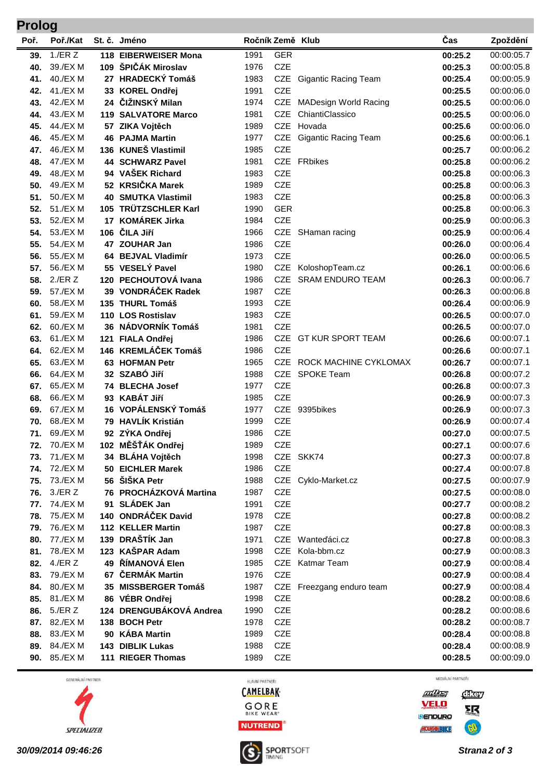| <b>Prolog</b> |                      |  |                                      |              |                          |                              |                    |                          |  |
|---------------|----------------------|--|--------------------------------------|--------------|--------------------------|------------------------------|--------------------|--------------------------|--|
| Poř.          | Poř./Kat             |  | St. č. Jméno                         |              | Ročník Země Klub         |                              | Čas                | Zpoždění                 |  |
| 39.           | $1$ ./ER $Z$         |  | 118 EIBERWEISER Mona                 | 1991         | <b>GER</b>               |                              | 00:25.2            | 00:00:05.7               |  |
| 40.           | 39./EX M             |  | 109 ŠPIČÁK Miroslav                  | 1976         | <b>CZE</b>               |                              | 00:25.3            | 00:00:05.8               |  |
| 41.           | 40./EX M             |  | 27 HRADECKÝ Tomáš                    | 1983         |                          | CZE Gigantic Racing Team     | 00:25.4            | 00:00:05.9               |  |
| 42.           | 41./EX M             |  | 33 KOREL Ondřej                      | 1991         | <b>CZE</b>               |                              | 00:25.5            | 00:00:06.0               |  |
| 43.           | 42./EX M             |  | 24 ČIŽINSKÝ Milan                    | 1974         | <b>CZE</b>               | <b>MADesign World Racing</b> | 00:25.5            | 00:00:06.0               |  |
| 44.           | 43./EX M             |  | <b>119 SALVATORE Marco</b>           | 1981         | <b>CZE</b>               | ChiantiClassico              | 00:25.5            | 00:00:06.0               |  |
| 45.           | 44./EX M             |  | 57 ZIKA Vojtěch                      | 1989         | <b>CZE</b>               | Hovada                       | 00:25.6            | 00:00:06.0               |  |
| 46.           | 45./EX M             |  | <b>46 PAJMA Martin</b>               | 1977         | <b>CZE</b>               | <b>Gigantic Racing Team</b>  | 00:25.6            | 00:00:06.1               |  |
| 47.           | 46./EX M             |  | 136 KUNEŠ Vlastimil                  | 1985         | <b>CZE</b>               |                              | 00:25.7            | 00:00:06.2               |  |
| 48.           | 47./EX M             |  | <b>44 SCHWARZ Pavel</b>              | 1981         |                          | CZE FRbikes                  | 00:25.8            | 00:00:06.2               |  |
| 49.           | 48./EX M             |  | 94 VAŠEK Richard                     | 1983         | <b>CZE</b>               |                              | 00:25.8            | 00:00:06.3               |  |
| 50.           | 49./EX M             |  | 52 KRSIČKA Marek                     | 1989         | <b>CZE</b>               |                              | 00:25.8            | 00:00:06.3               |  |
| 51.           | 50./EX M             |  | <b>40 SMUTKA Vlastimil</b>           | 1983         | <b>CZE</b>               |                              | 00:25.8            | 00:00:06.3               |  |
| 52.           | 51./EX M             |  | 105 TRÜTZSCHLER Karl                 | 1990         | <b>GER</b>               |                              | 00:25.8            | 00:00:06.3               |  |
| 53.           | 52./EX M             |  | 17 KOMÁREK Jirka                     | 1984         | <b>CZE</b>               |                              | 00:25.9            | 00:00:06.3               |  |
| 54.           | 53./EX M             |  | 106 ČILA Jiří                        | 1966         | CZE                      | SHaman racing                | 00:25.9            | 00:00:06.4               |  |
| 55.           | 54./EX M             |  | 47 ZOUHAR Jan                        | 1986         | <b>CZE</b>               |                              | 00:26.0            | 00:00:06.4               |  |
| 56.           | 55./EX M             |  | 64 BEJVAL Vladimír                   | 1973         | <b>CZE</b>               |                              | 00:26.0            | 00:00:06.5               |  |
| 57.           | 56./EX M             |  | 55 VESELÝ Pavel                      | 1980         | <b>CZE</b>               | KoloshopTeam.cz              | 00:26.1            | 00:00:06.6               |  |
| 58.           | $2$ ./ER $Z$         |  | 120 PECHOUTOVÁ Ivana                 | 1986         | <b>CZE</b>               | <b>SRAM ENDURO TEAM</b>      | 00:26.3            | 00:00:06.7               |  |
| 59.           | 57./EX M             |  | 39 VONDRÁČEK Radek                   | 1987         | <b>CZE</b>               |                              | 00:26.3            | 00:00:06.8               |  |
| 60.           | 58./EX M             |  | 135 THURL Tomáš                      | 1993         | <b>CZE</b>               |                              | 00:26.4            | 00:00:06.9               |  |
| 61.           | 59./EX M             |  | 110 LOS Rostislav                    | 1983         | <b>CZE</b>               |                              | 00:26.5            | 00:00:07.0               |  |
| 62.           | 60./EX M             |  | 36 NÁDVORNÍK Tomáš                   | 1981         | <b>CZE</b>               |                              | 00:26.5            | 00:00:07.0               |  |
| 63.           | 61./EX M             |  | 121 FIALA Ondřej                     | 1986         | <b>CZE</b>               | <b>GT KUR SPORT TEAM</b>     | 00:26.6            | 00:00:07.1               |  |
| 64.           | 62./EX M             |  | 146 KREMLÁČEK Tomáš                  | 1986         | <b>CZE</b>               |                              | 00:26.6            | 00:00:07.1               |  |
| 65.           | 63./EX M             |  | 63 HOFMAN Petr                       | 1965         | <b>CZE</b>               | ROCK MACHINE CYKLOMAX        | 00:26.7            | 00:00:07.1               |  |
| 66.           | 64./EX M             |  | 32 SZABÓ Jiří                        | 1988         | <b>CZE</b>               | <b>SPOKE Team</b>            | 00:26.8            | 00:00:07.2               |  |
| 67.           | 65./EX M             |  | 74 BLECHA Josef                      | 1977         | <b>CZE</b>               |                              | 00:26.8            | 00:00:07.3               |  |
| 68.           | 66./EX M             |  | 93 KABÁT Jiří<br>16 VOPÁLENSKÝ Tomáš | 1985         | <b>CZE</b><br><b>CZE</b> |                              | 00:26.9            | 00:00:07.3<br>00:00:07.3 |  |
| 69.           | 67./EX M<br>68./EX M |  | 79 HAVLÍK Kristián                   | 1977<br>1999 | <b>CZE</b>               | 9395bikes                    | 00:26.9            | 00:00:07.4               |  |
| 70.<br>71.    | 69./EX M             |  | 92 ZÝKA Ondřej                       | 1986         | <b>CZE</b>               |                              | 00:26.9            | 00:00:07.5               |  |
|               | <b>72.</b> 70./EX M  |  | 102 MĚŠŤÁK Ondřej                    | 1989         | <b>CZE</b>               |                              | 00:27.0<br>00:27.1 | 00:00:07.6               |  |
| 73.           | 71./EX M             |  | 34 BLÁHA Vojtěch                     | 1998         |                          | CZE SKK74                    | 00:27.3            | 00:00:07.8               |  |
| 74.           | 72./EX M             |  | 50 EICHLER Marek                     | 1986         | <b>CZE</b>               |                              | 00:27.4            | 00:00:07.8               |  |
| 75.           | 73./EX M             |  | 56 ŠIŠKA Petr                        | 1988         |                          | CZE Cyklo-Market.cz          | 00:27.5            | 00:00:07.9               |  |
| 76.           | $3$ ./ER $Z$         |  | 76 PROCHÁZKOVÁ Martina               | 1987         | <b>CZE</b>               |                              | 00:27.5            | 00:00:08.0               |  |
| 77.           | 74./EX M             |  | 91 SLÁDEK Jan                        | 1991         | <b>CZE</b>               |                              | 00:27.7            | 00:00:08.2               |  |
| 78.           | 75./EX M             |  | 140 ONDRÁČEK David                   | 1978         | <b>CZE</b>               |                              | 00:27.8            | 00:00:08.2               |  |
| 79.           | 76./EX M             |  | 112 KELLER Martin                    | 1987         | <b>CZE</b>               |                              | 00:27.8            | 00:00:08.3               |  |
| 80.           | 77./EX M             |  | 139 DRAŠTÍK Jan                      | 1971         |                          | CZE Wanteďáci.cz             | 00:27.8            | 00:00:08.3               |  |
| 81.           | 78./EX M             |  | 123 KAŠPAR Adam                      | 1998         |                          | CZE Kola-bbm.cz              | 00:27.9            | 00:00:08.3               |  |
| 82.           | 4./ER Z              |  | 49 ŘÍMANOVÁ Elen                     | 1985         |                          | CZE Katmar Team              | 00:27.9            | 00:00:08.4               |  |
| 83.           | 79./EX M             |  | 67 ČERMÁK Martin                     | 1976         | <b>CZE</b>               |                              | 00:27.9            | 00:00:08.4               |  |
| 84.           | 80./EX M             |  | 35 MISSBERGER Tomáš                  | 1987         |                          | CZE Freezgang enduro team    | 00:27.9            | 00:00:08.4               |  |
| 85.           | 81./EX M             |  | 86 VÉBR Ondřej                       | 1998         | <b>CZE</b>               |                              | 00:28.2            | 00:00:08.6               |  |
| 86.           | 5./ER Z              |  | 124 DRENGUBÁKOVÁ Andrea              | 1990         | <b>CZE</b>               |                              | 00:28.2            | 00:00:08.6               |  |
|               | 87. 82./EX M         |  | 138 BOCH Petr                        | 1978         | <b>CZE</b>               |                              | 00:28.2            | 00:00:08.7               |  |
|               | 88. 83./EX M         |  | 90 KÁBA Martin                       | 1989         | <b>CZE</b>               |                              | 00:28.4            | 00:00:08.8               |  |
|               | 89. 84./EX M         |  | 143 DIBLIK Lukas                     | 1988         | <b>CZE</b>               |                              | 00:28.4            | 00:00:08.9               |  |
| 90.           | 85./EX M             |  | 111 RIEGER Thomas                    | 1989         | <b>CZE</b>               |                              | 00:28.5            | 00:00:09.0               |  |
|               |                      |  |                                      |              |                          |                              |                    |                          |  |

GENERÁLNÍ PARTNER



HLAVNÍ PARTNEŘI **CAMELBAK-**